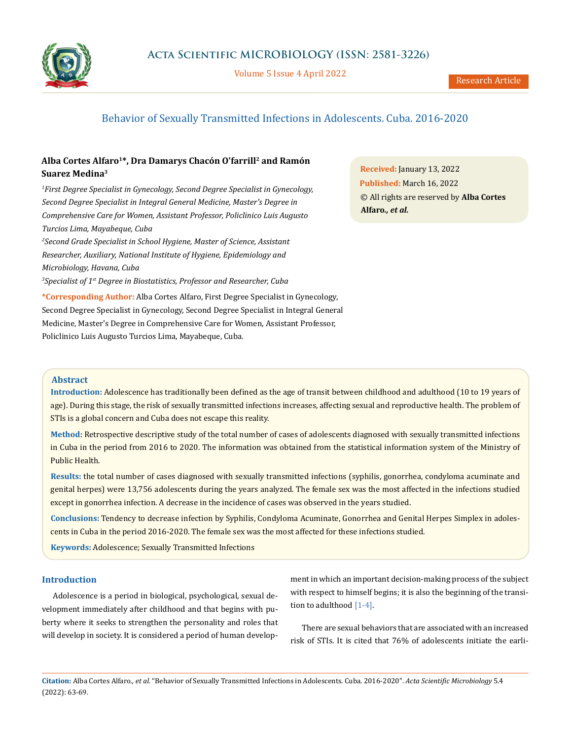

Volume 5 Issue 4 April 2022

# Behavior of Sexually Transmitted Infections in Adolescents. Cuba. 2016-2020

## **Alba Cortes Alfaro1\*, Dra Damarys Chacón O'farrill2 and Ramón Suarez Medina3**

*1 First Degree Specialist in Gynecology, Second Degree Specialist in Gynecology, Second Degree Specialist in Integral General Medicine, Master's Degree in Comprehensive Care for Women, Assistant Professor, Policlinico Luis Augusto Turcios Lima, Mayabeque, Cuba* 

*2 Second Grade Specialist in School Hygiene, Master of Science, Assistant Researcher, Auxiliary, National Institute of Hygiene, Epidemiology and Microbiology, Havana, Cuba* 

*3 Specialist of 1st Degree in Biostatistics, Professor and Researcher, Cuba*

**\*Corresponding Author:** Alba Cortes Alfaro, First Degree Specialist in Gynecology, Second Degree Specialist in Gynecology, Second Degree Specialist in Integral General Medicine, Master's Degree in Comprehensive Care for Women, Assistant Professor, Policlinico Luis Augusto Turcios Lima, Mayabeque, Cuba.

**Received:** January 13, 2022 **Published:** March 16, 2022 © All rights are reserved by **Alba Cortes Alfaro***., et al.*

## **Abstract**

**Introduction:** Adolescence has traditionally been defined as the age of transit between childhood and adulthood (10 to 19 years of age). During this stage, the risk of sexually transmitted infections increases, affecting sexual and reproductive health. The problem of STIs is a global concern and Cuba does not escape this reality.

**Method:** Retrospective descriptive study of the total number of cases of adolescents diagnosed with sexually transmitted infections in Cuba in the period from 2016 to 2020. The information was obtained from the statistical information system of the Ministry of Public Health.

**Results:** the total number of cases diagnosed with sexually transmitted infections (syphilis, gonorrhea, condyloma acuminate and genital herpes) were 13,756 adolescents during the years analyzed. The female sex was the most affected in the infections studied except in gonorrhea infection. A decrease in the incidence of cases was observed in the years studied.

**Conclusions:** Tendency to decrease infection by Syphilis, Condyloma Acuminate, Gonorrhea and Genital Herpes Simplex in adolescents in Cuba in the period 2016-2020. The female sex was the most affected for these infections studied.

**Keywords:** Adolescence; Sexually Transmitted Infections

### **Introduction**

Adolescence is a period in [biological](zim://A/Biolog%C3%ADa.html), [psychological](zim://A/Psicolog%C3%ADa.html), [sexual](zim://A/Sexualidad.html) development immediately after [childhood](zim://A/Infancia.html) and that begins with [pu](zim://A/Pubertad.html)[berty](zim://A/Pubertad.html) where it seeks to strengthen the personality and roles that will develop in society. It is considered a period of human development in which an important decision-making process of the subject with respect to himself begins; it is also the beginning of the transition to adulthood [1-4].

There are sexual behaviors that are associated with an increased risk of STIs. It is cited that 76% of adolescents initiate the earli-

**Citation:** Alba Cortes Alfaro*., et al.* "Behavior of Sexually Transmitted Infections in Adolescents. Cuba. 2016-2020". *Acta Scientific Microbiology* 5.4 (2022): 63-69.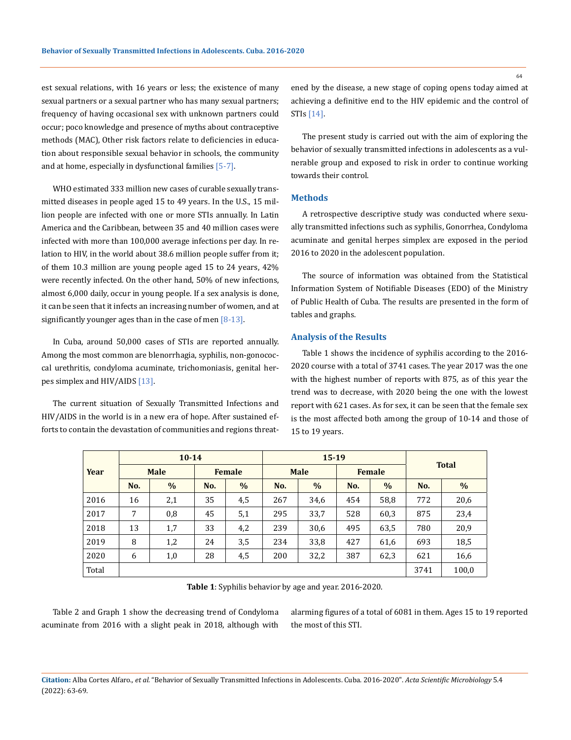est sexual relations, with 16 years or less; the existence of many sexual partners or a sexual partner who has many sexual partners; frequency of having occasional sex with unknown partners could occur; poco knowledge and presence of myths about contraceptive methods (MAC), Other risk factors relate to deficiencies in education about responsible sexual behavior in schools, the community and at home, especially in dysfunctional families [5-7].

WHO estimated 333 million new cases of curable [sexually trans](http://www.monografias.com/trabajos15/enfermedad-sexual/enfermedad-sexual.shtml)[mitted diseases](http://www.monografias.com/trabajos15/enfermedad-sexual/enfermedad-sexual.shtml) in people aged 15 to 49 years. In the U.S., 15 million people are infected with one or more STIs annually. In [Latin](http://www.monografias.com/trabajos/planificacion/planificacion.shtml)  [America](http://www.monografias.com/trabajos/planificacion/planificacion.shtml) and the Caribbean, between 35 and 40 million cases were infected with more than 100,000 average infections per day. In relation to HIV, in the world about 38.6 million people suffer from it; of them 10.3 million are young people aged 15 to 24 years, 42% were recently infected. On the other hand, 50% of new infections, almost 6,000 daily, occur in young people. If a sex analysis is done, it can be seen that it infects an increasing number of women, and at significantly younger ages than in the case of men  $[8-13]$ .

In Cuba, around 50,000 cases of STIs are reported annually. Among the most common are blenorrhagia, syphilis, non-gonococcal urethritis, condyloma acuminate, trichomoniasis, genital herpes simplex and HIV/AIDS [13].

The current situation of Sexually Transmitted Infections and HIV/AIDS in the world is in a new era of hope. After sustained efforts to contain the devastation of communities and regions threatened by the disease, a new stage of coping opens today aimed at achieving a definitive end to the HIV epidemic and the control of STIs [14].

The present study is carried out with the aim of exploring the behavior of sexually transmitted infections in adolescents as a vulnerable group and exposed to risk in order to continue working towards their control.

#### **Methods**

A retrospective descriptive study was conducted where sexually transmitted infections such as syphilis, Gonorrhea, Condyloma acuminate and genital herpes simplex are exposed in the period 2016 to 2020 in the adolescent population.

The source of information was obtained from the Statistical Information System of Notifiable Diseases (EDO) of the Ministry of Public Health of Cuba. The results are presented in the form of tables and graphs.

#### **Analysis of the Results**

Table 1 shows the incidence of syphilis according to the 2016- 2020 course with a total of 3741 cases. The year 2017 was the one with the highest number of reports with 875, as of this year the trend was to decrease, with 2020 being the one with the lowest report with 621 cases. As for sex, it can be seen that the female sex is the most affected both among the group of 10-14 and those of 15 to 19 years.

| Year  |             | $10 - 14$ |               |               |             | $15 - 19$ |               |               |              |       |
|-------|-------------|-----------|---------------|---------------|-------------|-----------|---------------|---------------|--------------|-------|
|       | <b>Male</b> |           | <b>Female</b> |               | <b>Male</b> |           | <b>Female</b> |               | <b>Total</b> |       |
|       | No.         | $\%$      | No.           | $\frac{0}{0}$ | No.         | $\%$      | No.           | $\frac{0}{0}$ | No.          | $\%$  |
| 2016  | 16          | 2,1       | 35            | 4,5           | 267         | 34,6      | 454           | 58,8          | 772          | 20,6  |
| 2017  | 7           | 0,8       | 45            | 5,1           | 295         | 33,7      | 528           | 60,3          | 875          | 23,4  |
| 2018  | 13          | 1,7       | 33            | 4,2           | 239         | 30,6      | 495           | 63,5          | 780          | 20,9  |
| 2019  | 8           | 1,2       | 24            | 3,5           | 234         | 33,8      | 427           | 61,6          | 693          | 18,5  |
| 2020  | 6           | 1,0       | 28            | 4,5           | 200         | 32,2      | 387           | 62,3          | 621          | 16,6  |
| Total |             |           |               |               |             |           |               |               | 3741         | 100,0 |

**Table 1**: Syphilis behavior by age and year. 2016-2020.

Table 2 and Graph 1 show the decreasing trend of Condyloma acuminate from 2016 with a slight peak in 2018, although with alarming figures of a total of 6081 in them. Ages 15 to 19 reported the most of this STI.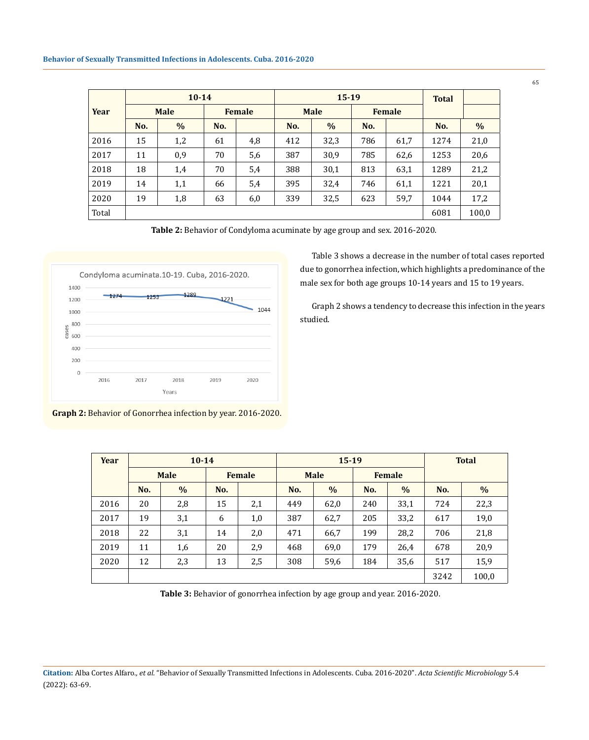|       |                              | $10 - 14$     |     |             |     | $15 - 19$     | <b>Total</b> |      |      |       |
|-------|------------------------------|---------------|-----|-------------|-----|---------------|--------------|------|------|-------|
| Year  | <b>Male</b><br><b>Female</b> |               |     | <b>Male</b> |     | <b>Female</b> |              |      |      |       |
|       | No.                          | $\frac{0}{6}$ | No. |             | No. | $\%$          | No.          |      | No.  | $\%$  |
| 2016  | 15                           | 1,2           | 61  | 4,8         | 412 | 32,3          | 786          | 61,7 | 1274 | 21,0  |
| 2017  | 11                           | 0,9           | 70  | 5,6         | 387 | 30,9          | 785          | 62,6 | 1253 | 20,6  |
| 2018  | 18                           | 1,4           | 70  | 5,4         | 388 | 30,1          | 813          | 63,1 | 1289 | 21,2  |
| 2019  | 14                           | 1,1           | 66  | 5,4         | 395 | 32,4          | 746          | 61,1 | 1221 | 20,1  |
| 2020  | 19                           | 1,8           | 63  | 6,0         | 339 | 32,5          | 623          | 59,7 | 1044 | 17,2  |
| Total |                              |               |     |             |     |               |              |      | 6081 | 100,0 |

**Table 2:** Behavior of Condyloma acuminate by age group and sex. 2016-2020.



**Graph 2:** Behavior of Gonorrhea infection by year. 2016-2020.

Table 3 shows a decrease in the number of total cases reported due to gonorrhea infection, which highlights a predominance of the male sex for both age groups 10-14 years and 15 to 19 years.

Graph 2 shows a tendency to decrease this infection in the years studied.

| Year | $10 - 14$   |               |        |     | $15 - 19$   |      |               |      | <b>Total</b> |               |
|------|-------------|---------------|--------|-----|-------------|------|---------------|------|--------------|---------------|
|      | <b>Male</b> |               | Female |     | <b>Male</b> |      | <b>Female</b> |      |              |               |
|      | No.         | $\frac{0}{0}$ | No.    |     | No.         | $\%$ | No.           | $\%$ | No.          | $\frac{0}{0}$ |
| 2016 | 20          | 2,8           | 15     | 2,1 | 449         | 62,0 | 240           | 33,1 | 724          | 22,3          |
| 2017 | 19          | 3,1           | 6      | 1,0 | 387         | 62,7 | 205           | 33,2 | 617          | 19,0          |
| 2018 | 22          | 3,1           | 14     | 2,0 | 471         | 66,7 | 199           | 28,2 | 706          | 21,8          |
| 2019 | 11          | 1,6           | 20     | 2,9 | 468         | 69,0 | 179           | 26,4 | 678          | 20,9          |
| 2020 | 12          | 2,3           | 13     | 2,5 | 308         | 59,6 | 184           | 35,6 | 517          | 15,9          |
|      |             |               |        |     |             |      |               |      |              | 100,0         |

**Table 3:** Behavior of gonorrhea infection by age group and year. 2016-2020.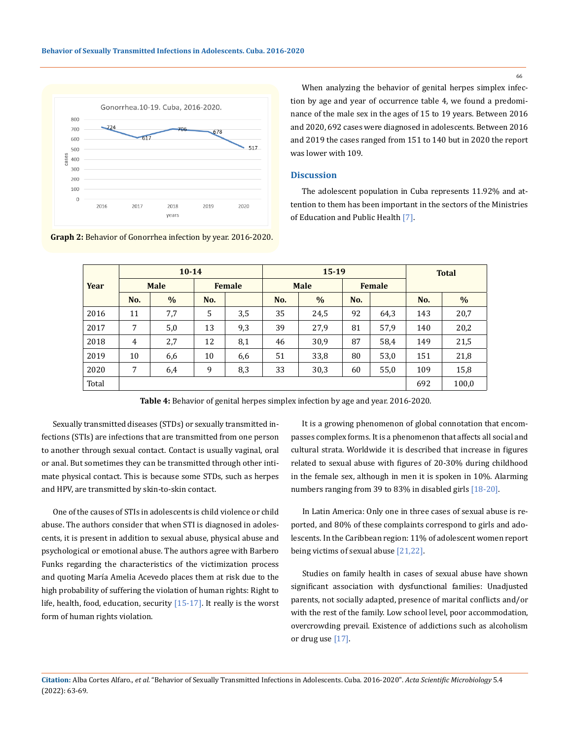

When analyzing the behavior of genital herpes simplex infection by age and year of occurrence table 4, we found a predominance of the male sex in the ages of 15 to 19 years. Between 2016 and 2020, 692 cases were diagnosed in adolescents. Between 2016 and 2019 the cases ranged from 151 to 140 but in 2020 the report was lower with 109.

## **Discussion**

The adolescent population in Cuba represents 11.92% and attention to them has been important in the sectors of the Ministries of Education and Public Health [7].

|       |             | $10 - 14$     |               |     |             | $15 - 19$ | <b>Total</b> |      |     |               |
|-------|-------------|---------------|---------------|-----|-------------|-----------|--------------|------|-----|---------------|
| Year  | <b>Male</b> |               | <b>Female</b> |     | <b>Male</b> |           | Female       |      |     |               |
|       | No.         | $\frac{0}{0}$ | No.           |     | No.         | $\%$      | No.          |      | No. | $\frac{0}{0}$ |
| 2016  | 11          | 7,7           | 5             | 3,5 | 35          | 24,5      | 92           | 64,3 | 143 | 20,7          |
| 2017  | 7           | 5,0           | 13            | 9,3 | 39          | 27,9      | 81           | 57.9 | 140 | 20,2          |
| 2018  | 4           | 2,7           | 12            | 8,1 | 46          | 30,9      | 87           | 58,4 | 149 | 21,5          |
| 2019  | 10          | 6,6           | 10            | 6,6 | 51          | 33,8      | 80           | 53,0 | 151 | 21,8          |
| 2020  | 7           | 6,4           | 9             | 8,3 | 33          | 30,3      | 60           | 55,0 | 109 | 15,8          |
| Total |             |               |               |     |             |           |              |      | 692 | 100,0         |

**Graph 2:** Behavior of Gonorrhea infection by year. 2016-2020.

**Table 4:** Behavior of genital herpes simplex infection by age and year. 2016-2020.

Sexually transmitted diseases (STDs) or sexually transmitted infections (STIs) are infections that are transmitted from one person to another through sexual contact. Contact is usually vaginal, oral or anal. But sometimes they can be transmitted through other intimate physical contact. This is because some STDs, such as herpes and HPV, are transmitted by skin-to-skin contact.

One of the causes of STIs in adolescents is child violence or child abuse. The authors consider that when STI is diagnosed in adolescents, it is present in addition to sexual abuse, physical abuse and psychological or emotional abuse. The authors agree with Barbero Funks regarding the characteristics of the victimization process and quoting María Amelia Acevedo places them at risk due to the high probability of suffering the violation of human rights: Right to life, health, food, education, security [15-17]. It really is the worst form of human rights violation.

It is a growing phenomenon of global connotation that encompasses complex forms. It is a phenomenon that affects all social and cultural strata. Worldwide it is described that increase in figures related to sexual abuse with figures of 20-30% during childhood in the female sex, although in men it is spoken in 10%. Alarming numbers ranging from 39 to 83% in disabled girls [18-20].

In Latin America: Only one in three cases of sexual abuse is reported, and 80% of these complaints correspond to girls and adolescents. In the Caribbean region: 11% of adolescent women report being victims of sexual abuse [21,22].

Studies on family health in cases of sexual abuse have shown significant association with dysfunctional families: Unadjusted parents, not socially adapted, presence of marital conflicts and/or with the rest of the family. Low school level, poor accommodation, overcrowding prevail. Existence of addictions such as alcoholism or drug use [17].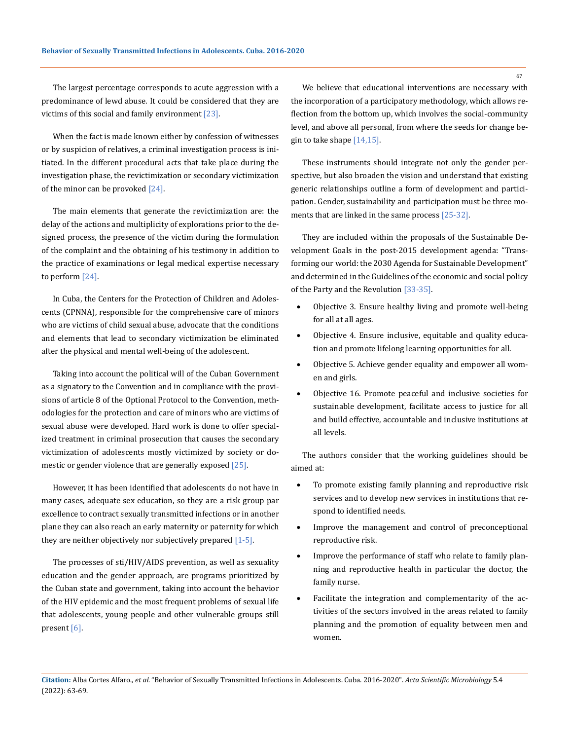The largest percentage corresponds to acute aggression with a predominance of lewd abuse. It could be considered that they are victims of this social and family environment  $[23]$ .

When the fact is made known either by confession of witnesses or by suspicion of relatives, a criminal investigation process is initiated. In the different procedural acts that take place during the investigation phase, the revictimization or secondary victimization of the minor can be provoked [24].

The main elements that generate the revictimization are: the delay of the actions and multiplicity of explorations prior to the designed process, the presence of the victim during the formulation of the complaint and the obtaining of his testimony in addition to the practice of examinations or legal medical expertise necessary to perform [24].

In Cuba, the Centers for the Protection of Children and Adolescents (CPNNA), responsible for the comprehensive care of minors who are victims of child sexual abuse, advocate that the conditions and elements that lead to secondary victimization be eliminated after the physical and mental well-being of the adolescent.

Taking into account the political will of the Cuban Government as a signatory to the Convention and in compliance with the provisions of article 8 of the Optional Protocol to the Convention, methodologies for the protection and care of minors who are victims of sexual abuse were developed. Hard work is done to offer specialized treatment in criminal prosecution that causes the secondary victimization of adolescents mostly victimized by society or domestic or gender violence that are generally exposed [25].

However, it has been identified that adolescents do not have in many cases, adequate sex education, so they are a risk group par excellence to contract sexually transmitted infections or in another plane they can also reach an early maternity or paternity for which they are neither objectively nor subjectively prepared [1-5].

The processes of sti/HIV/AIDS prevention, as well as sexuality education and the gender approach, are programs prioritized by the Cuban state and government, taking into account the behavior of the HIV epidemic and the most frequent problems of sexual life that adolescents, young people and other vulnerable groups still present [6].

We believe that educational interventions are necessary with the incorporation of a participatory methodology, which allows reflection from the bottom up, which involves the social-community level, and above all personal, from where the seeds for change begin to take shape [14,15].

These instruments should integrate not only the gender perspective, but also broaden the vision and understand that existing generic relationships outline a form of development and participation. Gender, sustainability and participation must be three moments that are linked in the same process [25-32].

They are included within the proposals of the Sustainable Development Goals in the post-2015 development agenda: "Transforming our world: the 2030 Agenda for Sustainable Development" and determined in the Guidelines of the economic and social policy of the Party and the Revolution [33-35].

- Objective 3. Ensure healthy living and promote well-being for all at all ages.
- Objective 4. Ensure inclusive, equitable and quality education and promote lifelong learning opportunities for all.
- Objective 5. Achieve gender equality and empower all women and girls.
- Objective 16. Promote peaceful and inclusive societies for sustainable development, facilitate access to justice for all and build effective, accountable and inclusive institutions at all levels.

The authors consider that the working guidelines should be aimed at:

- To promote existing family planning and reproductive risk services and to develop new services in institutions that respond to identified needs.
- Improve the management and control of preconceptional reproductive risk.
- Improve the performance of staff who relate to family planning and reproductive health in particular the doctor, the family nurse.
- Facilitate the integration and complementarity of the activities of the sectors involved in the areas related to family planning and the promotion of equality between men and women.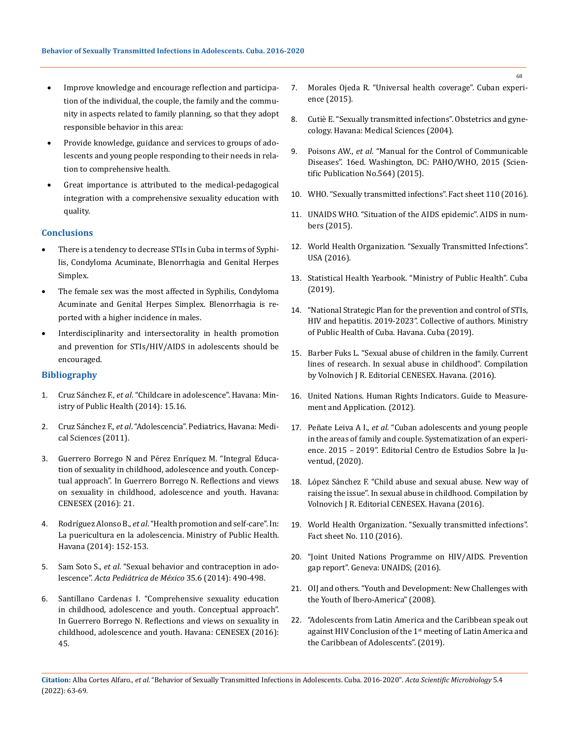- Improve knowledge and encourage reflection and participation of the individual, the couple, the family and the community in aspects related to family planning, so that they adopt responsible behavior in this area:
- Provide knowledge, guidance and services to groups of adolescents and young people responding to their needs in relation to comprehensive health.
- Great importance is attributed to the medical-pedagogical integration with a comprehensive sexuality education with quality.

#### **Conclusions**

- There is a tendency to decrease STIs in Cuba in terms of Syphilis, Condyloma Acuminate, Blenorrhagia and Genital Herpes Simplex.
- The female sex was the most affected in Syphilis, Condyloma Acuminate and Genital Herpes Simplex. Blenorrhagia is reported with a higher incidence in males.
- Interdisciplinarity and intersectorality in health promotion and prevention for STIs/HIV/AIDS in adolescents should be encouraged.

## **Bibliography**

- 1. Cruz Sánchez F., *et al*. "Childcare in adolescence". Havana: Ministry of Public Health (2014): 15.16.
- 2. Cruz Sánchez F., *et al*. "Adolescencia". Pediatrics, Havana: Medical Sciences (2011).
- 3. Guerrero Borrego N and Pérez Enríquez M. "Integral Education of sexuality in childhood, adolescence and youth. Conceptual approach". In Guerrero Borrego N. Reflections and views on sexuality in childhood, adolescence and youth. Havana: CENESEX (2016): 21.
- 4. Rodríguez Alonso B., *et al*. "Health promotion and self-care". In: La puericultura en la adolescencia. Ministry of Public Health. Havana (2014): 152-153.
- 5. Sam Soto S., *et al*[. "Sexual behavior and contraception in ado](https://www.researchgate.net/publication/287070298_Sexual_behaviour_and_contraception_in_adolescents)lescence". *[Acta Pediátrica de México](https://www.researchgate.net/publication/287070298_Sexual_behaviour_and_contraception_in_adolescents)* 35.6 (2014): 490-498.
- 6. Santillano Cardenas I. "Comprehensive sexuality education in childhood, adolescence and youth. Conceptual approach". In Guerrero Borrego N. Reflections and views on sexuality in childhood, adolescence and youth. Havana: CENESEX (2016): 45.
- 7. Morales Ojeda R. "Universal health coverage". Cuban experience (2015).
- 8. Cutiè E. "Sexually transmitted infections". Obstetrics and gynecology. Havana: Medical Sciences (2004).
- 9. Poisons AW., *et al*. "Manual for the Control of Communicable Diseases". 16ed. Washington, DC: PAHO/WHO, 2015 (Scientific Publication No.564) (2015).
- 10. WHO. "Sexually transmitted infections". Fact sheet 110 (2016).
- 11. UNAIDS WHO. "Situation of the AIDS epidemic". AIDS in numbers (2015).
- 12. World Health Organization. "Sexually Transmitted Infections". USA (2016).
- 13. Statistical Health Yearbook. "Ministry of Public Health". Cuba (2019).
- 14. "National Strategic Plan for the prevention and control of STIs, HIV and hepatitis. 2019-2023". Collective of authors. Ministry of Public Health of Cuba. Havana. Cuba (2019).
- 15. Barber Fuks L. "Sexual abuse of children in the family. Current lines of research. In sexual abuse in childhood". Compilation by Volnovich J R. Editorial CENESEX. Havana. (2016).
- 16. United Nations. Human Rights Indicators. Guide to Measurement and Application. (2012).
- 17. Peñate Leiva A I., *et al*. "Cuban adolescents and young people in the areas of family and couple. Systematization of an experience. 2015 – 2019". Editorial Centro de Estudios Sobre la Juventud, (2020).
- 18. [López Sánchez F. "Child abuse and sexual abuse. New way of](https://www.cdc.gov/violenceprevention/childsexualabuse/fastfact.html)  [raising the issue". In sexual abuse in childhood. Compilation by](https://www.cdc.gov/violenceprevention/childsexualabuse/fastfact.html)  [Volnovich J R. Editorial CENESEX. Havana \(2016\).](https://www.cdc.gov/violenceprevention/childsexualabuse/fastfact.html)
- 19. [World Health Organization. "Sexually transmitted infections".](https://www.who.int/es/news-room/fact-sheets/detail/sexually-transmitted-infections-(stis))  [Fact sheet No. 110 \(2016\).](https://www.who.int/es/news-room/fact-sheets/detail/sexually-transmitted-infections-(stis))
- 20. ["Joint United Nations Programme on HIV/AIDS. Prevention](https://www.cdc.gov/hiv/spanish/basics/index.html)  [gap report". Geneva: UNAIDS; \(2016\).](https://www.cdc.gov/hiv/spanish/basics/index.html)
- 21. OIJ and others. "Youth and Development: New Challenges with the Youth of Ibero-America" (2008).
- 22. "Adolescents from Latin America and the Caribbean speak out against HIV Conclusion of the 1<sup>st</sup> meeting of Latin America and the Caribbean of Adolescents". (2019).

**Citation:** Alba Cortes Alfaro*., et al.* "Behavior of Sexually Transmitted Infections in Adolescents. Cuba. 2016-2020". *Acta Scientific Microbiology* 5.4 (2022): 63-69.